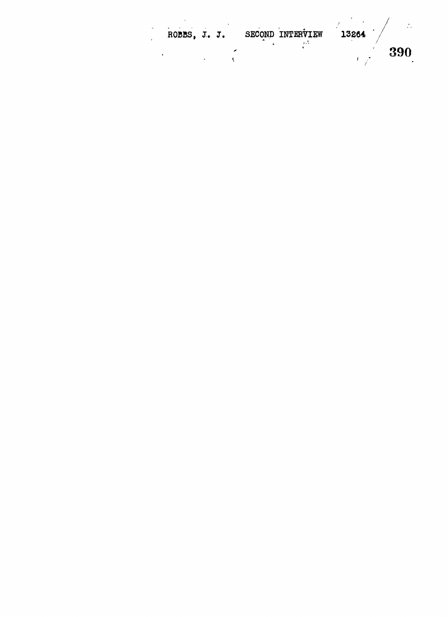|      | 13264 | SECOND INTERVIEW |  | ROBBS, J. J. |  |
|------|-------|------------------|--|--------------|--|
| -390 |       | .                |  |              |  |
|      |       |                  |  |              |  |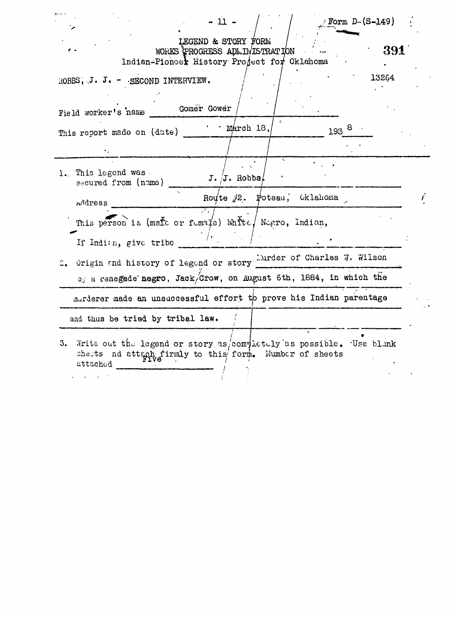|                                                                                   | $-11 -$                                                                                                                                            | / $\texttt{Form D-(S-149)}$ |     |
|-----------------------------------------------------------------------------------|----------------------------------------------------------------------------------------------------------------------------------------------------|-----------------------------|-----|
|                                                                                   | LEGEND & STORY FORM<br>WORKS PROGRESS ADMINISTRATION<br>Indian-Pioncer History Project for Oklahoma                                                |                             | 391 |
| ROBBS, J. J. - SECOND INTERVIEW.<br>Field worker's name                           | Gomer Gower                                                                                                                                        | 13264                       |     |
| This report made on (date)                                                        | $\cdot$ $\cdot$ march 18,                                                                                                                          | $193^{8}$                   |     |
| 1. This legend was.<br>secured from (name)                                        | $J. /J.$ Robbs/                                                                                                                                    |                             |     |
| Address<br>If Indian, give tribe                                                  | Route $i2$ . Poteau, Oklahoma<br>This person is (mare or fumale) white Negro, Indian,                                                              |                             |     |
|                                                                                   | Origin and history of legond or story Lurder of Charles $\vec{q}$ . Wilson<br>$o_j$ a renegade negro, Jack/Crow, on August 6th, 1884, in which the |                             |     |
| and thus be tried by tribal law.                                                  | marderer made an unsuccessful effort to prove his Indian parentage                                                                                 |                             |     |
| 3. Write out the legend or story as completely as possible. Use blank<br>attached | shests nd attach firmly to this form. Number of sheets                                                                                             |                             |     |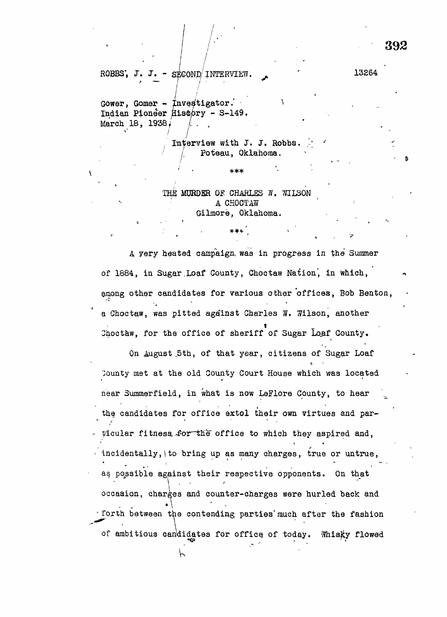ROBBS', J. J. -  $S_F K_{\text{F}}$  INTERVIEW.  $\qquad \qquad$  13264

Gower, Gomer - Investigator. Indian Pioneer History - S-149. March 18, 1938, / /

> Interview with J. J. Robbs. Poteau, Oklahoma.

THE MURDER OF CHARLES  $N$ . WILSON A CHOCTAW Gilmore, Oklahoma.

 $***$ 

' • \*\*\*

A yery heated campaign, was in progress in the Summer of 1884, in Sugar Loaf County, Choctaw Nation, in which, among other candidates for various other offices, Bob Benton, a Choctaw, was pitted against Charles W. Wilson, another Choctaw, for the office of sheriff of Sugar Loaf County.

On August 5th, of that year, citizens of Sugar Loaf Jounty met at the old County Court House which was located near Summerfield, in what is now LeFlore County, to hear the candidates for office extol their own virtues and particular fitness, for the office to which they aspired and, is the contract of the contract of the contract of the contract of the contract of the contract of the contract of the contract of the contract of the contract of the contract of the contract of the contract of the contra incidentally, to bring up as many charges, true or untrue, as possible against their respective opponents. On that occasion, charges and counter-charges were hurled back and  $\bullet \qquad \bullet \qquad \qquad$ • forth between the contending parties' much after the fashion of ambitious candidates for office, of today. Whisky flowed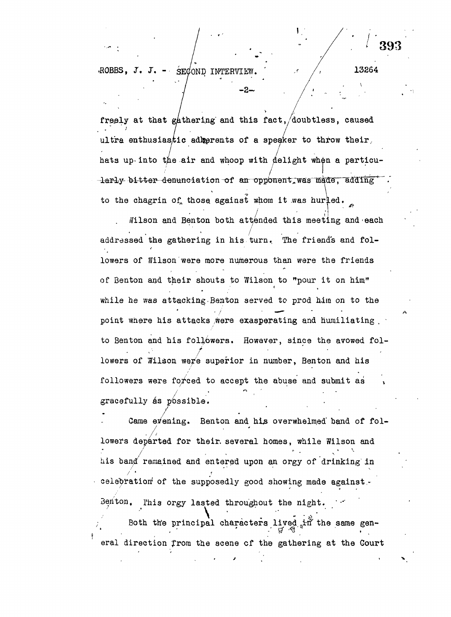ROBBS,  $J$ ,  $J$ , - SECOND INTERVIEW.

freely at that gathering and this fact, doubtless, caused ultra enthusiastic admerents of a speaker to throw their, hats up- into the air and whoop with delight when a particularly bitter denunciation of an opponent was made, adding to the chagrin of those against whom it was hurled.

 $^*$  "  $^*$  "  $^*$  "  $^*$ 

—ä—<br>—

Wilson and Benton both attended this meeting and each addressed the gathering in his turn. The friends and followers of Wilson were more numerous than were the friends of Benton and their shouts to Wilson to "pour it on him" while he was attacking.Benton served to prod him on to the point where his attacks were exasperating and humiliating  $\overline{a}$ to Senton and his followers. However, since the avowed followers of Wilson were superior in number, Benton and his followers were forced to accept the abuse and submit as gracefully as possible.

Came evening. Benton and his overwhelmed band of followers departed for their, several homes, while Wilson and his band remained and entered upon an orgy of drinking in celebration of the supposedly good showing made against. Benton. This orgy lasted throughout the night. Both the principal characters lived in the same gen-

eral direction from the scene of the gathering at the Court eral direction from the scene cf the gathering at the gathering at the gathering at the gathering at the Court

13264

393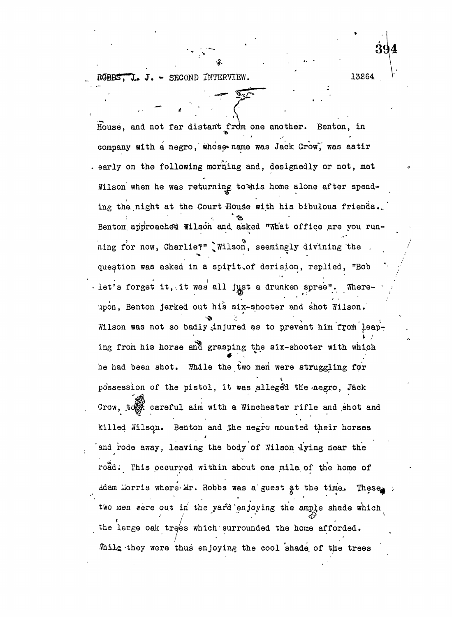SECOND INTERVIEW. 13264

House, and not far distant from one another. Benton, in company with a negro, whose name was Jack Crow, was astir . early on the following morning and, designedly or not, met Wilson when he was returning to this home alone after spending the night at the Court-House with his bibulous friends. Benton approached Wilson and asked "What office are you running for now, Charlie?" I Wilson, seemingly divining the . question was asked in a spirit.of derision, replied, "Bob  $\cdot$  let's forget it, it was all just a drunken spree". Whereupon, Benton jerked out his six-shooter and shot Jilson. Wilson was not so badly injured as to prevent him from leaping from his horse and grasping the  $six$ -shooter with which he had been shot. Thile the two men were struggling for possession of the pistol, it was alleged the negro, Jack Crow, to careful aim with a Winchester rifle and shot and killed Wilson. Benton and the negro mounted their horses and rode away, leaving the body of Wilson lying near the road. This occurred within about one mile of the home of Adam Morris where Mr. Robbs was a guest at the time. These two men were out in the yard'enjoying the ample shade which f  $/$ the large oak trees which surrounded the home afforded. . Thile they were thus enjoying the cool shade of the trees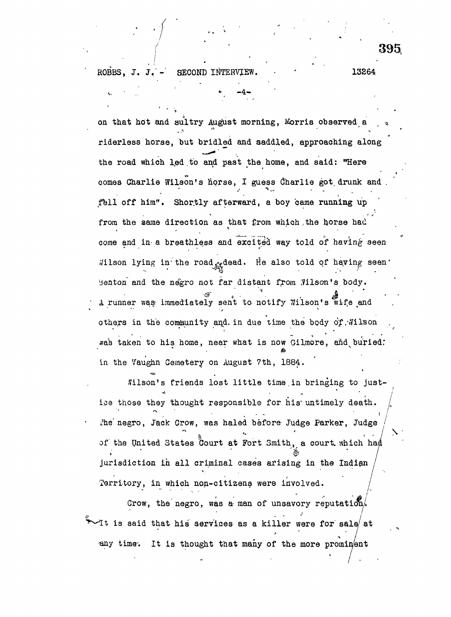on that hot and sultry August morning, Morris observed a riderless horse, but bridled and saddled, approaching along riderless horse, but bridled and saddled, approaching along  $\mathbf{r}_\mathbf{a}$ comes Charlie Wilson in the Charlie Wilson in the Charlie got, drunk and . I guess discussed in the Charlie go<br>The Charlie got, drunk and . I guess discussed in the Charlie got, drunk and . I guess discussed in the Charli fell off him". Shortly afterward, a boy came running up fell off him". Shor.tly afterward, a boy came running up. come and in a breathless and excited way told of having seen Wilson lying in the road  $x$  dead. He also told of having seen  $\mathcal{L}^{\text{max}}$  in  $\mathcal{L}^{\text{max}}$  in  $\mathcal{L}^{\text{max}}$  in  $\mathcal{L}^{\text{max}}$  seen to told of haying seen to to A runner was immediately sent to notify Wilson's wife and  $\mathcal{A}$  runner wa $\mathcal{A}$  immediately sent to- notify TJilson's wife  $\mathcal{A}$ others in the community and in due time the body of Wilson others in the cofi^unity and. in due time the body of.Wilson , was taken to his home, near what is now Gilmore, and buried:  $\omega$ in the Vaughn Cemetery on August 7th, 1884.

in the Vaughn Cemetery on August 7th, 1884. filson's friends lost little time in bringing to just- $\mathbb{R}^n$  is friends lost little time. In bringing to just-little time.in bringing to just-little time. for his untimely death.  $\int_{\gamma}$  $\sum_{i=1}^{n}$ i?he' negro, Jack Crow, was haled before Judge Parker, Judge / of the United States Court at Fort Smith, a court which had jurisdiction in all criminal cases arising in the Indian Territory, in which non-citizens were involved.

Crow, the negro, was a man of unsavory reputation.  $\mathcal A$ t is said that his services as a killer were for sale/ at  $^{\circ}$  . / any time. It is thought that many of the more promin/ent

 $\blacktriangleright$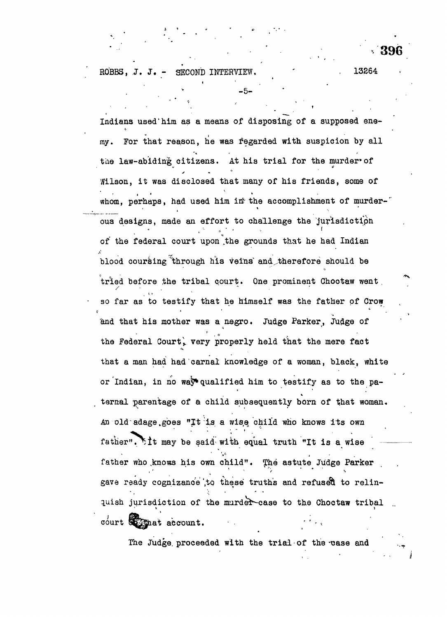ROBBS, J. J. - SECOND INTERVIEW. 13264

Indians used"him as a means of disposing of a supposed enemy. For that reason, he was fegarded with suspicion by all the law-abiding citizens. At his trial for the murder of Wilson, it was disclosed that many of his friends, some of whom, perhaps, had used him in the accomplishment of murderous designs, made an effort to challenge the jurisdiction of the federal court upon .the grounds that he had Indian blood coursing through his veins and therefore should be tried before the tribal court. One prominent Choctaw went , 4 0 so far as to testify that he himself was the father of Crow so far as to testify the father of  $\mathcal{A}_\mathcal{A}$  that he himself was the father of  $\mathcal{A}_\mathcal{A}$ and that his mother was a negro. Judge Parker, Judge of and that his mother was a negro. Judge Parker, Judge of the Federal Court, very properly held that the mere fact  $\frac{1}{\alpha}$  the mere factor  $\frac{1}{\alpha}$  that the mere factor  $\frac{1}{\alpha}$ that a man had had carnal knowledge of a woman, black, white that a man had had carnal knowledge of a woman, black, white or Indian, in no way\*qualified him to testify as to the paternal parentage of a child subsequently born of that woman.  $A = \frac{1}{2} \sum_{i=1}^{n} \frac{1}{i} \sum_{j=1}^{n} \frac{1}{j} \sum_{j=1}^{n} \frac{1}{j} \sum_{j=1}^{n} \frac{1}{j} \sum_{j=1}^{n} \frac{1}{j} \sum_{j=1}^{n} \frac{1}{j} \sum_{j=1}^{n} \frac{1}{j} \sum_{j=1}^{n} \frac{1}{j} \sum_{j=1}^{n} \frac{1}{j} \sum_{j=1}^{n} \frac{1}{j} \sum_{j=1}^{n} \frac{1}{j} \sum_{j=1}^{n} \frac{1}{j} \sum_{j=1}$ father". It may be said-with equal truth "It is a wise father who .knows his own child". The astute Judge Parker gave ready cognizance to these truths and refused to relinquish jurisdiction of the murder-case to the Choctaw tribal  $\frac{1}{2}$  court  $\frac{1}{2}$  at account.

-5-

The Judge, proceeded with the trial of the-xsase and the-xsase and the-xsase and the-xsase and the-xsase and the-xsase and the-xsase and the-xsase and the-xsase and the-xsase and the-xsase and the-xsase and the-xsase and t